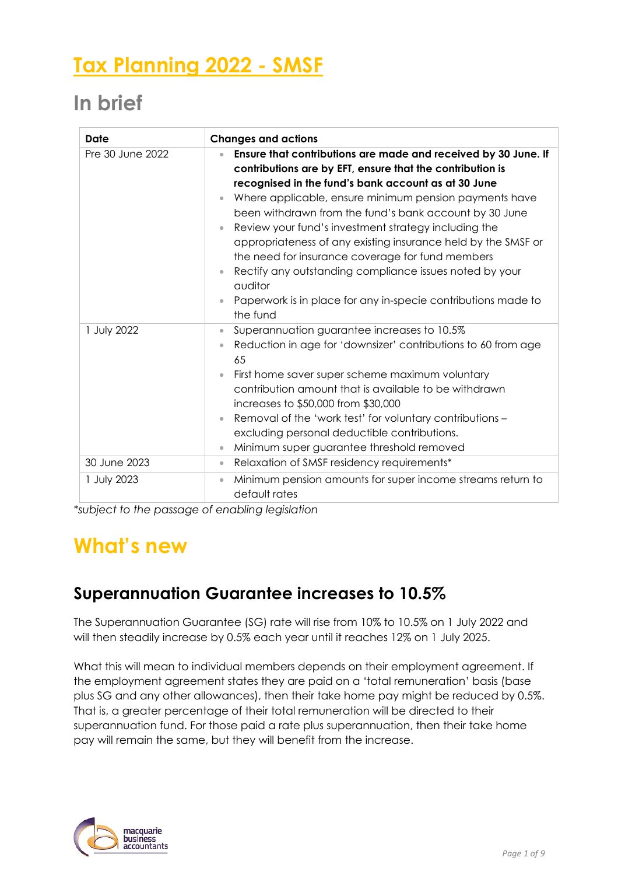# **Tax Planning 2022 - SMSF**

## **In brief**

| Date             | <b>Changes and actions</b>                                                                                                                                                                                                                                                                                                                                                                                                                                                                                                                                                                                                                                                    |  |
|------------------|-------------------------------------------------------------------------------------------------------------------------------------------------------------------------------------------------------------------------------------------------------------------------------------------------------------------------------------------------------------------------------------------------------------------------------------------------------------------------------------------------------------------------------------------------------------------------------------------------------------------------------------------------------------------------------|--|
| Pre 30 June 2022 | Ensure that contributions are made and received by 30 June. If<br>$\bullet$<br>contributions are by EFT, ensure that the contribution is<br>recognised in the fund's bank account as at 30 June<br>Where applicable, ensure minimum pension payments have<br>been withdrawn from the fund's bank account by 30 June<br>Review your fund's investment strategy including the<br>$\bullet$<br>appropriateness of any existing insurance held by the SMSF or<br>the need for insurance coverage for fund members<br>Rectify any outstanding compliance issues noted by your<br>auditor<br>Paperwork is in place for any in-specie contributions made to<br>$\bullet$<br>the fund |  |
| 1 July 2022      | Superannuation guarantee increases to 10.5%<br>$\bullet$<br>Reduction in age for 'downsizer' contributions to 60 from age<br>$\bullet$<br>65<br>First home saver super scheme maximum voluntary<br>$\bullet$<br>contribution amount that is available to be withdrawn<br>increases to \$50,000 from \$30,000<br>Removal of the 'work test' for voluntary contributions -<br>$\bullet$<br>excluding personal deductible contributions.<br>Minimum super guarantee threshold removed<br>$\bullet$                                                                                                                                                                               |  |
| 30 June 2023     | Relaxation of SMSF residency requirements*<br>$\qquad \qquad \bullet$                                                                                                                                                                                                                                                                                                                                                                                                                                                                                                                                                                                                         |  |
| 1 July 2023      | Minimum pension amounts for super income streams return to<br>$\bullet$<br>default rates                                                                                                                                                                                                                                                                                                                                                                                                                                                                                                                                                                                      |  |

*\*subject to the passage of enabling legislation* 

### **What's new**

### **Superannuation Guarantee increases to 10.5%**

The Superannuation Guarantee (SG) rate will rise from 10% to 10.5% on 1 July 2022 and will then steadily increase by 0.5% each year until it reaches 12% on 1 July 2025.

What this will mean to individual members depends on their employment agreement. If the employment agreement states they are paid on a 'total remuneration' basis (base plus SG and any other allowances), then their take home pay might be reduced by 0.5%. That is, a greater percentage of their total remuneration will be directed to their superannuation fund. For those paid a rate plus superannuation, then their take home pay will remain the same, but they will benefit from the increase.

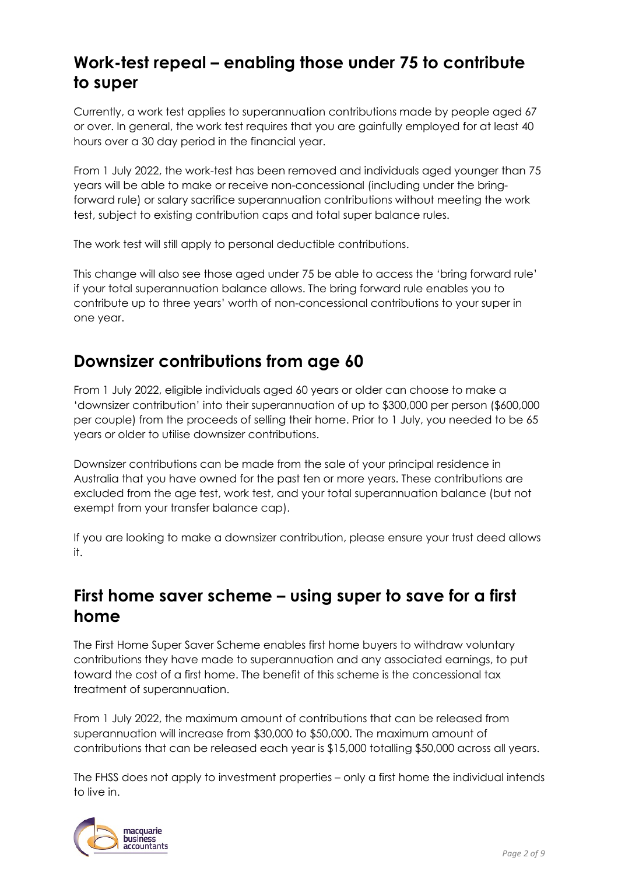### **Work-test repeal – enabling those under 75 to contribute to super**

Currently, a work test applies to superannuation contributions made by people aged 67 or over. In general, the work test requires that you are gainfully employed for at least 40 hours over a 30 day period in the financial year.

From 1 July 2022, the work-test has been removed and individuals aged younger than 75 years will be able to make or receive non-concessional (including under the bringforward rule) or salary sacrifice superannuation contributions without meeting the work test, subject to existing contribution caps and total super balance rules.

The work test will still apply to personal deductible contributions.

This change will also see those aged under 75 be able to access the 'bring forward rule' if your total superannuation balance allows. The bring forward rule enables you to contribute up to three years' worth of non-concessional contributions to your super in one year.

### **Downsizer contributions from age 60**

From 1 July 2022, eligible individuals aged 60 years or older can choose to make a 'downsizer contribution' into their superannuation of up to \$300,000 per person (\$600,000 per couple) from the proceeds of selling their home. Prior to 1 July, you needed to be 65 years or older to utilise downsizer contributions.

Downsizer contributions can be made from the sale of your principal residence in Australia that you have owned for the past ten or more years. These contributions are excluded from the age test, work test, and your total superannuation balance (but not exempt from your transfer balance cap).

If you are looking to make a downsizer contribution, please ensure your trust deed allows it.

#### **First home saver scheme – using super to save for a first home**

The First Home Super Saver Scheme enables first home buyers to withdraw voluntary contributions they have made to superannuation and any associated earnings, to put toward the cost of a first home. The benefit of this scheme is the concessional tax treatment of superannuation.

From 1 July 2022, the maximum amount of contributions that can be released from superannuation will increase from \$30,000 to \$50,000. The maximum amount of contributions that can be released each year is \$15,000 totalling \$50,000 across all years.

The FHSS does not apply to investment properties – only a first home the individual intends to live in.

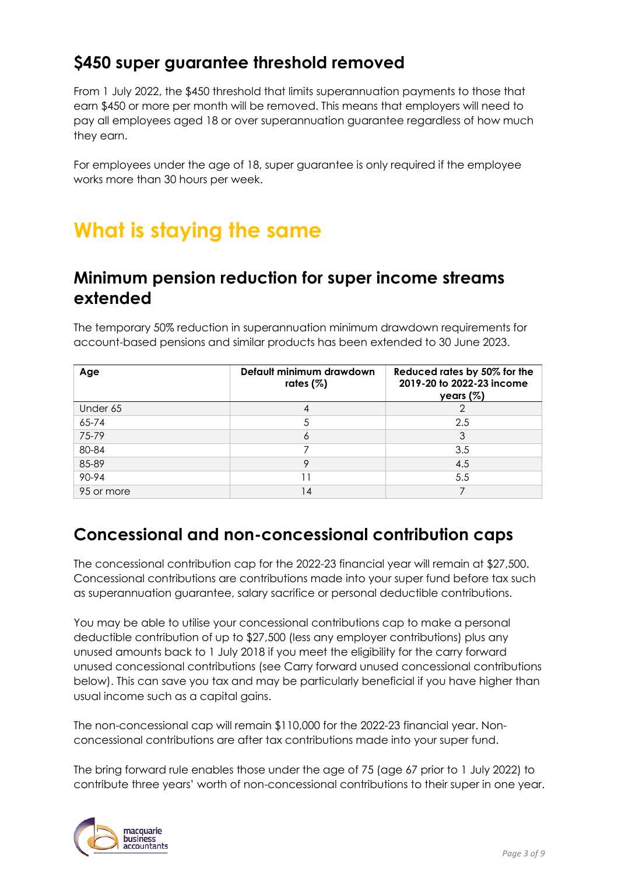### **\$450 super guarantee threshold removed**

From 1 July 2022, the \$450 threshold that limits superannuation payments to those that earn \$450 or more per month will be removed. This means that employers will need to pay all employees aged 18 or over superannuation guarantee regardless of how much they earn.

For employees under the age of 18, super guarantee is only required if the employee works more than 30 hours per week.

### **What is staying the same**

#### **Minimum pension reduction for super income streams extended**

The temporary 50% reduction in superannuation minimum drawdown requirements for account-based pensions and similar products has been extended to 30 June 2023.

| Age        | Default minimum drawdown<br>rates $(%)$ | Reduced rates by 50% for the<br>2019-20 to 2022-23 income<br>years $(%)$ |
|------------|-----------------------------------------|--------------------------------------------------------------------------|
| Under 65   |                                         |                                                                          |
| 65-74      |                                         | 2.5                                                                      |
| 75-79      | 6                                       | 3                                                                        |
| 80-84      |                                         | 3.5                                                                      |
| 85-89      | 9                                       | 4.5                                                                      |
| 90-94      |                                         | 5.5                                                                      |
| 95 or more | 14                                      |                                                                          |

### **Concessional and non-concessional contribution caps**

The concessional contribution cap for the 2022-23 financial year will remain at \$27,500. Concessional contributions are contributions made into your super fund before tax such as superannuation guarantee, salary sacrifice or personal deductible contributions.

You may be able to utilise your concessional contributions cap to make a personal deductible contribution of up to \$27,500 (less any employer contributions) plus any unused amounts back to 1 July 2018 if you meet the eligibility for the carry forward unused concessional contributions (see Carry forward unused concessional contributions below). This can save you tax and may be particularly beneficial if you have higher than usual income such as a capital gains.

The non-concessional cap will remain \$110,000 for the 2022-23 financial year. Nonconcessional contributions are after tax contributions made into your super fund.

The bring forward rule enables those under the age of 75 (age 67 prior to 1 July 2022) to contribute three years' worth of non-concessional contributions to their super in one year.

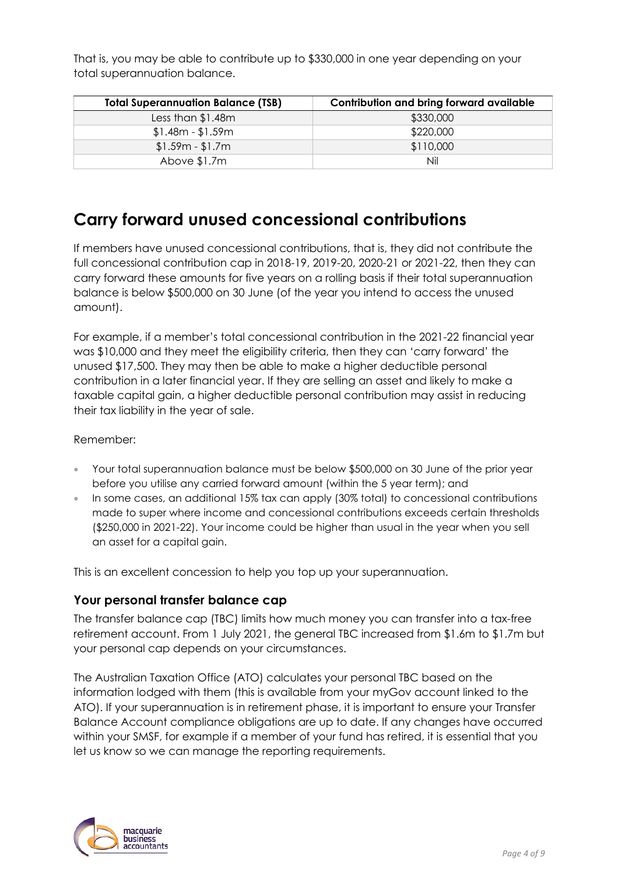That is, you may be able to contribute up to \$330,000 in one year depending on your total superannuation balance.

| <b>Total Superannuation Balance (TSB)</b> | Contribution and bring forward available |
|-------------------------------------------|------------------------------------------|
| Less than $$1.48m$                        | \$330,000                                |
| $$1.48m - $1.59m$                         | \$220,000                                |
| $$1.59m - $1.7m$                          | \$110,000                                |
| Above \$1.7m                              | Nil                                      |

### **Carry forward unused concessional contributions**

If members have unused concessional contributions, that is, they did not contribute the full concessional contribution cap in 2018-19, 2019-20, 2020-21 or 2021-22, then they can carry forward these amounts for five years on a rolling basis if their total superannuation balance is below \$500,000 on 30 June (of the year you intend to access the unused amount).

For example, if a member's total concessional contribution in the 2021-22 financial year was \$10,000 and they meet the eligibility criteria, then they can 'carry forward' the unused \$17,500. They may then be able to make a higher deductible personal contribution in a later financial year. If they are selling an asset and likely to make a taxable capital gain, a higher deductible personal contribution may assist in reducing their tax liability in the year of sale.

Remember:

- Your total superannuation balance must be below \$500,000 on 30 June of the prior year before you utilise any carried forward amount (within the 5 year term); and
- In some cases, an additional 15% tax can apply (30% total) to concessional contributions made to super where income and concessional contributions exceeds certain thresholds (\$250,000 in 2021-22). Your income could be higher than usual in the year when you sell an asset for a capital gain.

This is an excellent concession to help you top up your superannuation.

#### **Your personal transfer balance cap**

The transfer balance cap (TBC) limits how much money you can transfer into a tax-free retirement account. From 1 July 2021, the general TBC increased from \$1.6m to \$1.7m but your personal cap depends on your circumstances.

The Australian Taxation Office (ATO) calculates your personal TBC based on the information lodged with them (this is available from your myGov account linked to the ATO). If your superannuation is in retirement phase, it is important to ensure your Transfer Balance Account compliance obligations are up to date. If any changes have occurred within your SMSF, for example if a member of your fund has retired, it is essential that you let us know so we can manage the reporting requirements.

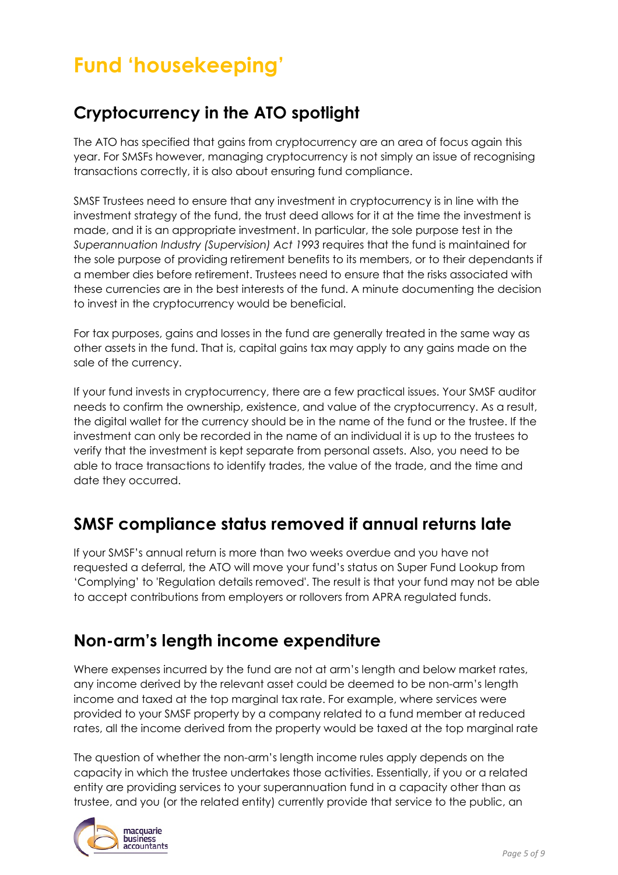# **Fund 'housekeeping'**

### **Cryptocurrency in the ATO spotlight**

The ATO has specified that gains from cryptocurrency are an area of focus again this year. For SMSFs however, managing cryptocurrency is not simply an issue of recognising transactions correctly, it is also about ensuring fund compliance.

SMSF Trustees need to ensure that any investment in cryptocurrency is in line with the investment strategy of the fund, the trust deed allows for it at the time the investment is made, and it is an appropriate investment. In particular, the sole purpose test in the *Superannuation Industry (Supervision) Act 1993* requires that the fund is maintained for the sole purpose of providing retirement benefits to its members, or to their dependants if a member dies before retirement. Trustees need to ensure that the risks associated with these currencies are in the best interests of the fund. A minute documenting the decision to invest in the cryptocurrency would be beneficial.

For tax purposes, gains and losses in the fund are generally treated in the same way as other assets in the fund. That is, capital gains tax may apply to any gains made on the sale of the currency.

If your fund invests in cryptocurrency, there are a few practical issues. Your SMSF auditor needs to confirm the ownership, existence, and value of the cryptocurrency. As a result, the digital wallet for the currency should be in the name of the fund or the trustee. If the investment can only be recorded in the name of an individual it is up to the trustees to verify that the investment is kept separate from personal assets. Also, you need to be able to trace transactions to identify trades, the value of the trade, and the time and date they occurred.

### **SMSF compliance status removed if annual returns late**

If your SMSF's annual return is more than two weeks overdue and you have not requested a deferral, the ATO will move your fund's status on Super Fund Lookup from 'Complying' to 'Regulation details removed'. The result is that your fund may not be able to accept contributions from employers or rollovers from APRA regulated funds.

### **Non-arm's length income expenditure**

Where expenses incurred by the fund are not at arm's length and below market rates, any income derived by the relevant asset could be deemed to be non-arm's length income and taxed at the top marginal tax rate. For example, where services were provided to your SMSF property by a company related to a fund member at reduced rates, all the income derived from the property would be taxed at the top marginal rate

The question of whether the non-arm's length income rules apply depends on the capacity in which the trustee undertakes those activities. Essentially, if you or a related entity are providing services to your superannuation fund in a capacity other than as trustee, and you (or the related entity) currently provide that service to the public, an

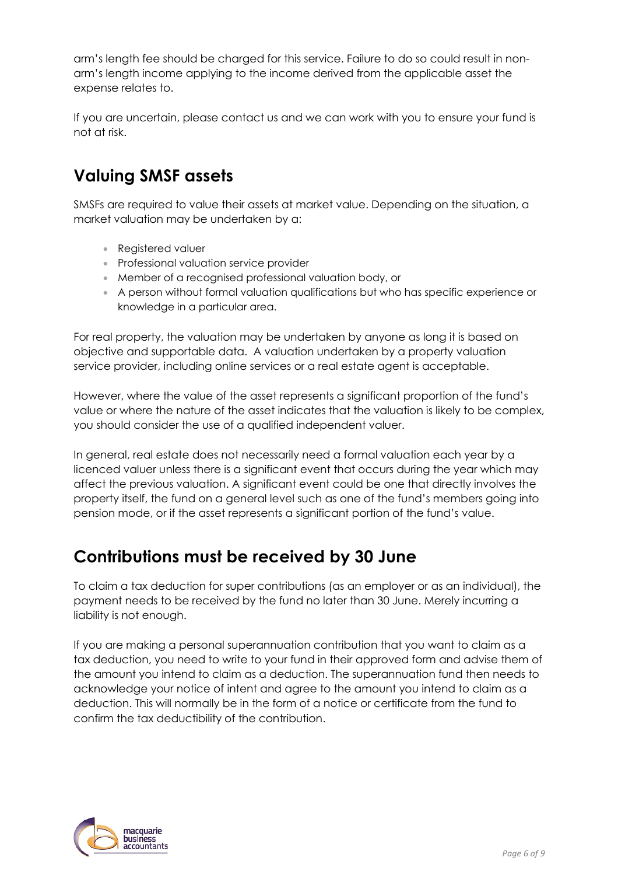arm's length fee should be charged for this service. Failure to do so could result in nonarm's length income applying to the income derived from the applicable asset the expense relates to.

If you are uncertain, please contact us and we can work with you to ensure your fund is not at risk.

### **Valuing SMSF assets**

SMSFs are required to value their assets at market value. Depending on the situation, a market valuation may be undertaken by a:

- Registered valuer
- Professional valuation service provider
- Member of a recognised professional valuation body, or
- A person without formal valuation qualifications but who has specific experience or knowledge in a particular area.

For real property, the valuation may be undertaken by anyone as long it is based on objective and supportable data. A valuation undertaken by a property valuation service provider, including online services or a real estate agent is acceptable.

However, where the value of the asset represents a significant proportion of the fund's value or where the nature of the asset indicates that the valuation is likely to be complex, you should consider the use of a qualified independent valuer.

In general, real estate does not necessarily need a formal valuation each year by a licenced valuer unless there is a significant event that occurs during the year which may affect the previous valuation. A significant event could be one that directly involves the property itself, the fund on a general level such as one of the fund's members going into pension mode, or if the asset represents a significant portion of the fund's value.

### **Contributions must be received by 30 June**

To claim a tax deduction for super contributions (as an employer or as an individual), the payment needs to be received by the fund no later than 30 June. Merely incurring a liability is not enough.

If you are making a personal superannuation contribution that you want to claim as a tax deduction, you need to write to your fund in their approved form and advise them of the amount you intend to claim as a deduction. The superannuation fund then needs to acknowledge your notice of intent and agree to the amount you intend to claim as a deduction. This will normally be in the form of a notice or certificate from the fund to confirm the tax deductibility of the contribution.

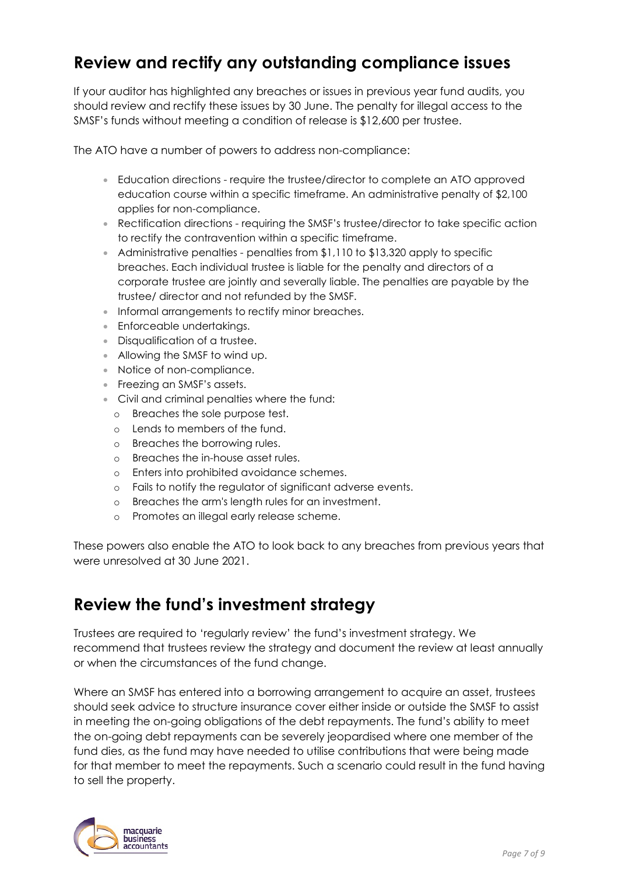### **Review and rectify any outstanding compliance issues**

If your auditor has highlighted any breaches or issues in previous year fund audits, you should review and rectify these issues by 30 June. The penalty for illegal access to the SMSF's funds without meeting a condition of release is \$12,600 per trustee.

The ATO have a number of powers to address non-compliance:

- Education directions require the trustee/director to complete an ATO approved education course within a specific timeframe. An administrative penalty of \$2,100 applies for non-compliance.
- Rectification directions requiring the SMSF's trustee/director to take specific action to rectify the contravention within a specific timeframe.
- Administrative penalties penalties from \$1,110 to \$13,320 apply to specific breaches. Each individual trustee is liable for the penalty and directors of a corporate trustee are jointly and severally liable. The penalties are payable by the trustee/ director and not refunded by the SMSF.
- Informal arrangements to rectify minor breaches.
- Enforceable undertakings.
- Disqualification of a trustee.
- Allowing the SMSF to wind up.
- Notice of non-compliance.
- Freezing an SMSF's assets.
- Civil and criminal penalties where the fund:
	- o Breaches the sole purpose test.
	- o Lends to members of the fund.
	- o Breaches the borrowing rules.
	- o Breaches the in-house asset rules.
	- o Enters into prohibited avoidance schemes.
	- o Fails to notify the regulator of significant adverse events.
	- o Breaches the arm's length rules for an investment.
	- o Promotes an illegal early release scheme.

These powers also enable the ATO to look back to any breaches from previous years that were unresolved at 30 June 2021.

#### **Review the fund's investment strategy**

Trustees are required to 'regularly review' the fund's investment strategy. We recommend that trustees review the strategy and document the review at least annually or when the circumstances of the fund change.

Where an SMSF has entered into a borrowing arrangement to acquire an asset, trustees should seek advice to structure insurance cover either inside or outside the SMSF to assist in meeting the on-going obligations of the debt repayments. The fund's ability to meet the on-going debt repayments can be severely jeopardised where one member of the fund dies, as the fund may have needed to utilise contributions that were being made for that member to meet the repayments. Such a scenario could result in the fund having to sell the property.

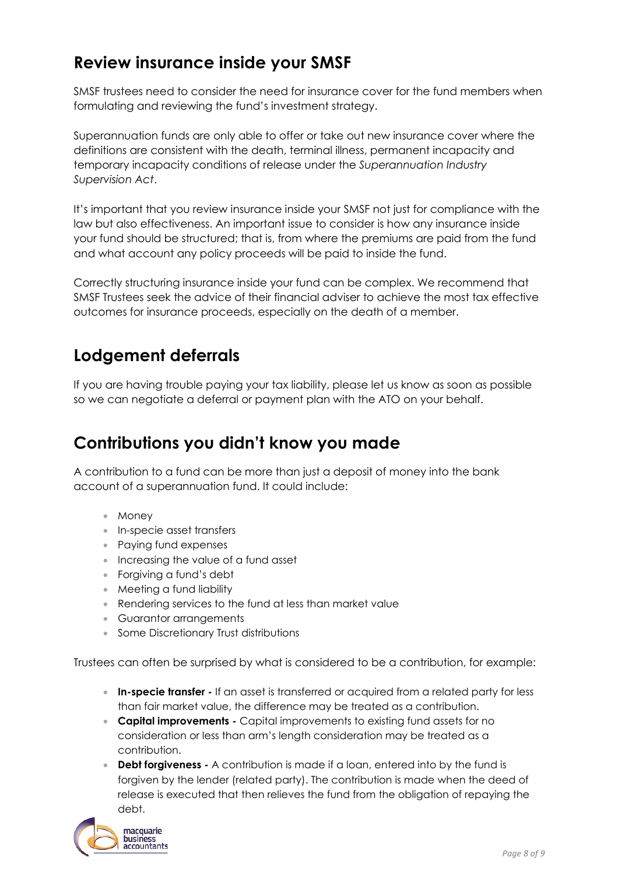### **Review insurance inside your SMSF**

SMSF trustees need to consider the need for insurance cover for the fund members when formulating and reviewing the fund's investment strategy.

Superannuation funds are only able to offer or take out new insurance cover where the definitions are consistent with the death, terminal illness, permanent incapacity and temporary incapacity conditions of release under the *Superannuation Industry Supervision Act*.

It's important that you review insurance inside your SMSF not just for compliance with the law but also effectiveness. An important issue to consider is how any insurance inside your fund should be structured; that is, from where the premiums are paid from the fund and what account any policy proceeds will be paid to inside the fund.

Correctly structuring insurance inside your fund can be complex. We recommend that SMSF Trustees seek the advice of their financial adviser to achieve the most tax effective outcomes for insurance proceeds, especially on the death of a member.

### **Lodgement deferrals**

If you are having trouble paying your tax liability, please let us know as soon as possible so we can negotiate a deferral or payment plan with the ATO on your behalf.

### **Contributions you didn't know you made**

A contribution to a fund can be more than just a deposit of money into the bank account of a superannuation fund. It could include:

- Money
- In-specie asset transfers
- Paying fund expenses
- Increasing the value of a fund asset
- Forgiving a fund's debt
- Meeting a fund liability
- Rendering services to the fund at less than market value
- Guarantor arrangements
- Some Discretionary Trust distributions

Trustees can often be surprised by what is considered to be a contribution, for example:

- **In-specie transfer** If an asset is transferred or acquired from a related party for less than fair market value, the difference may be treated as a contribution.
- **Capital improvements** Capital improvements to existing fund assets for no consideration or less than arm's length consideration may be treated as a contribution.
- **Debt forgiveness** A contribution is made if a loan, entered into by the fund is forgiven by the lender (related party). The contribution is made when the deed of release is executed that then relieves the fund from the obligation of repaying the debt.